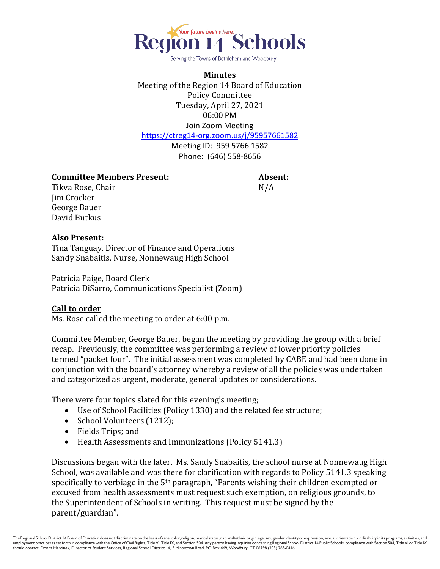

Serving the Towns of Bethlehem and Woodbury

**Minutes** Meeting of the Region 14 Board of Education Policy Committee Tuesday, April 27, 2021 06:00 PM Join Zoom Meeting <https://ctreg14-org.zoom.us/j/95957661582>

Meeting ID: 959 5766 1582 Phone: (646) 558-8656

### **Committee Members Present: Absent:**

Tikva Rose, Chair N/A Jim Crocker George Bauer David Butkus

### **Also Present:**

Tina Tanguay, Director of Finance and Operations Sandy Snabaitis, Nurse, Nonnewaug High School

Patricia Paige, Board Clerk Patricia DiSarro, Communications Specialist (Zoom)

### **Call to order**

Ms. Rose called the meeting to order at 6:00 p.m.

Committee Member, George Bauer, began the meeting by providing the group with a brief recap. Previously, the committee was performing a review of lower priority policies termed "packet four". The initial assessment was completed by CABE and had been done in conjunction with the board's attorney whereby a review of all the policies was undertaken and categorized as urgent, moderate, general updates or considerations.

There were four topics slated for this evening's meeting;

- Use of School Facilities (Policy 1330) and the related fee structure;
- School Volunteers (1212);
- Fields Trips; and
- Health Assessments and Immunizations (Policy 5141.3)

Discussions began with the later. Ms. Sandy Snabaitis, the school nurse at Nonnewaug High School, was available and was there for clarification with regards to Policy 5141.3 speaking specifically to verbiage in the 5th paragraph, "Parents wishing their children exempted or excused from health assessments must request such exemption, on religious grounds, to the Superintendent of Schools in writing. This request must be signed by the parent/guardian".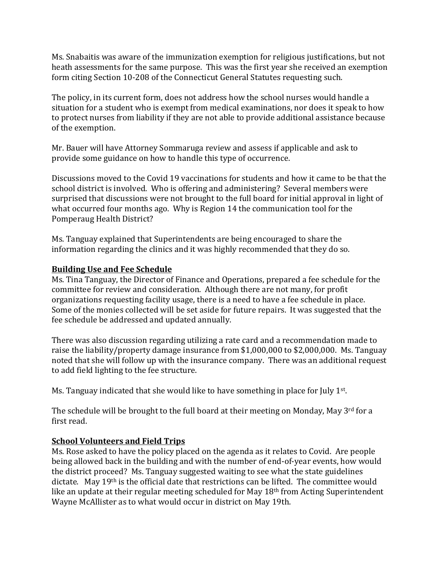Ms. Snabaitis was aware of the immunization exemption for religious justifications, but not heath assessments for the same purpose. This was the first year she received an exemption form citing Section 10-208 of the Connecticut General Statutes requesting such.

The policy, in its current form, does not address how the school nurses would handle a situation for a student who is exempt from medical examinations, nor does it speak to how to protect nurses from liability if they are not able to provide additional assistance because of the exemption.

Mr. Bauer will have Attorney Sommaruga review and assess if applicable and ask to provide some guidance on how to handle this type of occurrence.

Discussions moved to the Covid 19 vaccinations for students and how it came to be that the school district is involved. Who is offering and administering? Several members were surprised that discussions were not brought to the full board for initial approval in light of what occurred four months ago. Why is Region 14 the communication tool for the Pomperaug Health District?

Ms. Tanguay explained that Superintendents are being encouraged to share the information regarding the clinics and it was highly recommended that they do so.

## **Building Use and Fee Schedule**

Ms. Tina Tanguay, the Director of Finance and Operations, prepared a fee schedule for the committee for review and consideration. Although there are not many, for profit organizations requesting facility usage, there is a need to have a fee schedule in place. Some of the monies collected will be set aside for future repairs. It was suggested that the fee schedule be addressed and updated annually.

There was also discussion regarding utilizing a rate card and a recommendation made to raise the liability/property damage insurance from \$1,000,000 to \$2,000,000. Ms. Tanguay noted that she will follow up with the insurance company. There was an additional request to add field lighting to the fee structure.

Ms. Tanguay indicated that she would like to have something in place for July 1<sup>st</sup>.

The schedule will be brought to the full board at their meeting on Monday, May 3rd for a first read.

# **School Volunteers and Field Trips**

Ms. Rose asked to have the policy placed on the agenda as it relates to Covid. Are people being allowed back in the building and with the number of end-of-year events, how would the district proceed? Ms. Tanguay suggested waiting to see what the state guidelines dictate. May 19th is the official date that restrictions can be lifted. The committee would like an update at their regular meeting scheduled for May 18<sup>th</sup> from Acting Superintendent Wayne McAllister as to what would occur in district on May 19th.